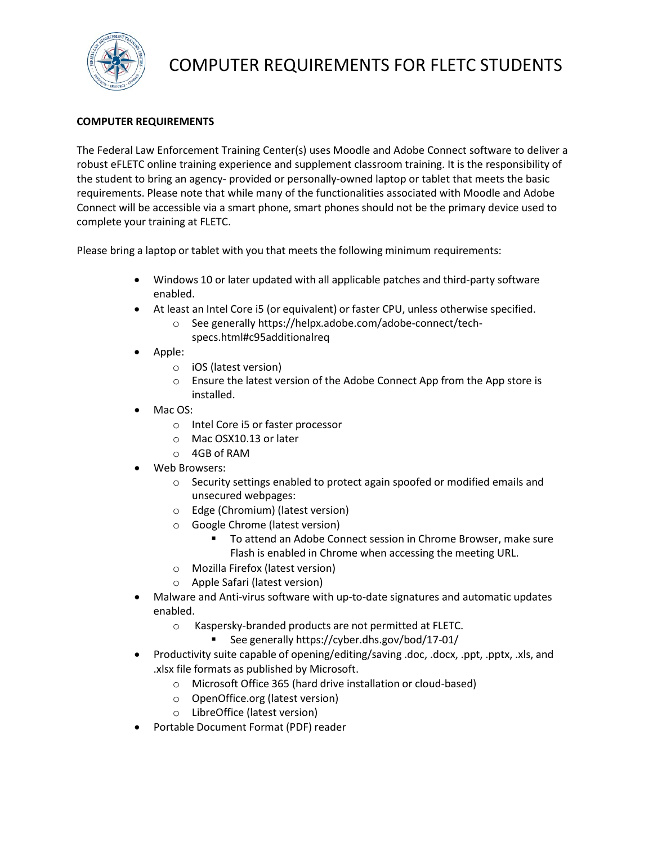

# COMPUTER REQUIREMENTS FOR FLETC STUDENTS

# **COMPUTER REQUIREMENTS**

The Federal Law Enforcement Training Center(s) uses Moodle and Adobe Connect software to deliver a robust eFLETC online training experience and supplement classroom training. It is the responsibility of the student to bring an agency- provided or personally-owned laptop or tablet that meets the basic requirements. Please note that while many of the functionalities associated with Moodle and Adobe Connect will be accessible via a smart phone, smart phones should not be the primary device used to complete your training at FLETC.

Please bring a laptop or tablet with you that meets the following minimum requirements:

- Windows 10 or later updated with all applicable patches and third-party software enabled.
- At least an Intel Core i5 (or equivalent) or faster CPU, unless otherwise specified.
	- o See generally https://helpx.adobe.com/adobe-connect/techspecs.html#c95additionalreq
- Apple:
	- o iOS (latest version)
	- o Ensure the latest version of the Adobe Connect App from the App store is installed.
- Mac OS:
	- o Intel Core i5 or faster processor
	- o Mac OSX10.13 or later
	- o 4GB of RAM
- Web Browsers:
	- o Security settings enabled to protect again spoofed or modified emails and unsecured webpages:
	- o Edge (Chromium) (latest version)
	- o Google Chrome (latest version)
		- To attend an Adobe Connect session in Chrome Browser, make sure Flash is enabled in Chrome when accessing the meeting URL.
	- o Mozilla Firefox (latest version)
	- o Apple Safari (latest version)
- Malware and Anti-virus software with up-to-date signatures and automatic updates enabled.
	- o Kaspersky-branded products are not permitted at FLETC.
		- See generally https://cyber.dhs.gov/bod/17-01/
- Productivity suite capable of opening/editing/saving .doc, .docx, .ppt, .pptx, .xls, and .xlsx file formats as published by Microsoft.
	- o Microsoft Office 365 (hard drive installation or cloud-based)
	- o OpenOffice.org (latest version)
	- o LibreOffice (latest version)
- Portable Document Format (PDF) reader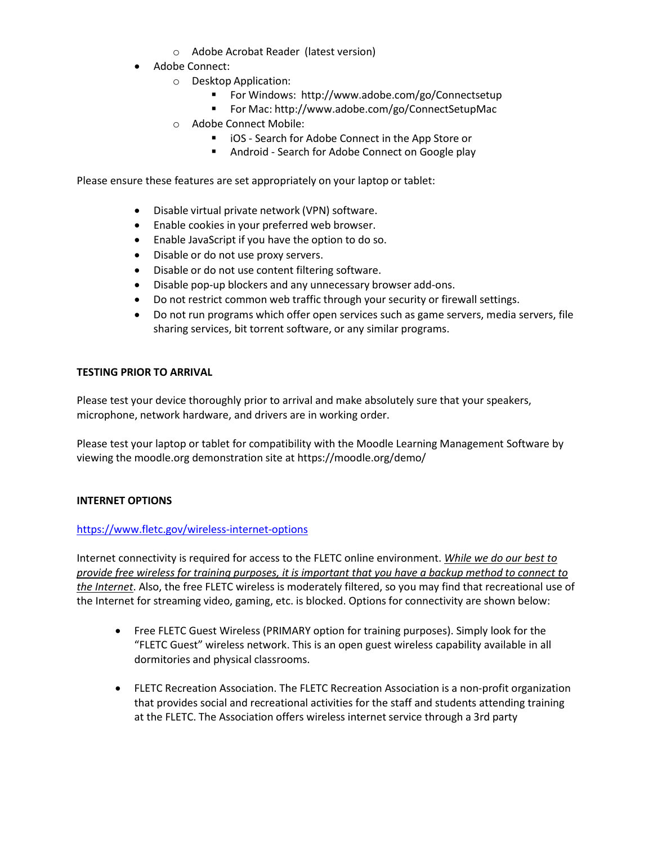- o Adobe Acrobat Reader (latest version)
- Adobe Connect:
	- o Desktop Application:
		- For Windows: <http://www.adobe.com/go/Connectsetup>
		- For Mac: <http://www.adobe.com/go/ConnectSetupMac>
	- o Adobe Connect Mobile:
		- iOS Search for Adobe Connect in the App Store or
		- **Android Search for Adobe Connect on Google play**

Please ensure these features are set appropriately on your laptop or tablet:

- Disable virtual private network (VPN) software.
- Enable cookies in your preferred web browser.
- Enable JavaScript if you have the option to do so.
- Disable or do not use proxy servers.
- Disable or do not use content filtering software.
- Disable pop-up blockers and any unnecessary browser add-ons.
- Do not restrict common web traffic through your security or firewall settings.
- Do not run programs which offer open services such as game servers, media servers, file sharing services, bit torrent software, or any similar programs.

## **TESTING PRIOR TO ARRIVAL**

Please test your device thoroughly prior to arrival and make absolutely sure that your speakers, microphone, network hardware, and drivers are in working order.

Please test your laptop or tablet for compatibility with the Moodle Learning Management Software by viewing the moodle.org demonstration site at https://moodle.org/demo/

## **INTERNET OPTIONS**

## <https://www.fletc.gov/wireless-internet-options>

Internet connectivity is required for access to the FLETC online environment. *While we do our best to provide free wireless for training purposes, it is important that you have a backup method to connect to the Internet*. Also, the free FLETC wireless is moderately filtered, so you may find that recreational use of the Internet for streaming video, gaming, etc. is blocked. Options for connectivity are shown below:

- Free FLETC Guest Wireless (PRIMARY option for training purposes). Simply look for the "FLETC Guest" wireless network. This is an open guest wireless capability available in all dormitories and physical classrooms.
- FLETC Recreation Association. The FLETC Recreation Association is a non-profit organization that provides social and recreational activities for the staff and students attending training at the FLETC. The Association offers wireless internet service through a 3rd party